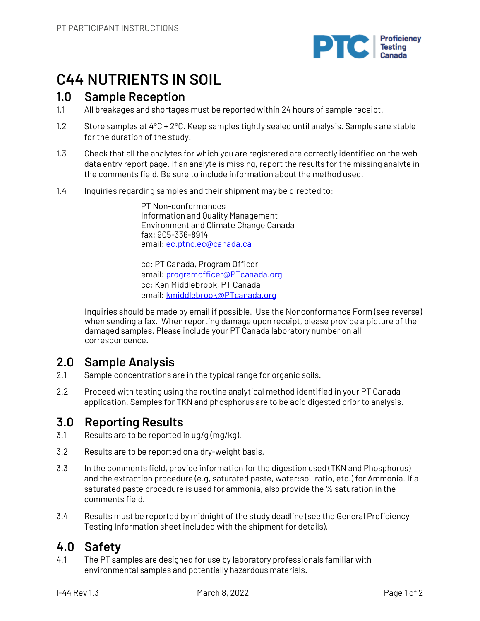

# **C44 NUTRIENTS IN SOIL**

### **1.0 Sample Reception**

- 1.1 All breakages and shortages must be reported within 24 hours of sample receipt.
- 1.2 Store samples at 4°C + 2°C. Keep samples tightly sealed until analysis. Samples are stable for the duration of the study.
- 1.3 Check that all the analytes for which you are registered are correctly identified on the web data entry report page. If an analyte is missing, report the results for the missing analyte in the comments field. Be sure to include information about the method used.
- 1.4 Inquiries regarding samples and their shipment may be directed to:

PT Non-conformances Information and Quality Management Environment and Climate Change Canada fax: 905-336-8914 email: ec.ptnc.ec@canada.ca

cc: PT Canada, Program Officer email: programofficer@PTcanada.org cc: Ken Middlebrook, PT Canada email: kmiddlebrook@PTcanada.org

Inquiries should be made by email if possible. Use the Nonconformance Form (see reverse) when sending a fax. When reporting damage upon receipt, please provide a picture of the damaged samples. Please include your PT Canada laboratory number on all correspondence.

### **2.0 Sample Analysis**

- 2.1 Sample concentrations are in the typical range for organic soils.
- 2.2 Proceed with testing using the routine analytical method identified in your PT Canada application. Samples for TKN and phosphorus are to be acid digested prior to analysis.

## **3.0 Reporting Results**

- 3.1 Results are to be reported in ug/g (mg/kg).
- 3.2 Results are to be reported on a dry-weight basis.
- 3.3 In the comments field, provide information for the digestion used (TKN and Phosphorus) and the extraction procedure (e.g, saturated paste, water:soil ratio, etc.) for Ammonia. If a saturated paste procedure is used for ammonia, also provide the % saturation in the comments field.
- 3.4 Results must be reported by midnight of the study deadline (see the General Proficiency Testing Information sheet included with the shipment for details).

## **4.0 Safety**

4.1 The PT samples are designed for use by laboratory professionals familiar with environmental samples and potentially hazardous materials.